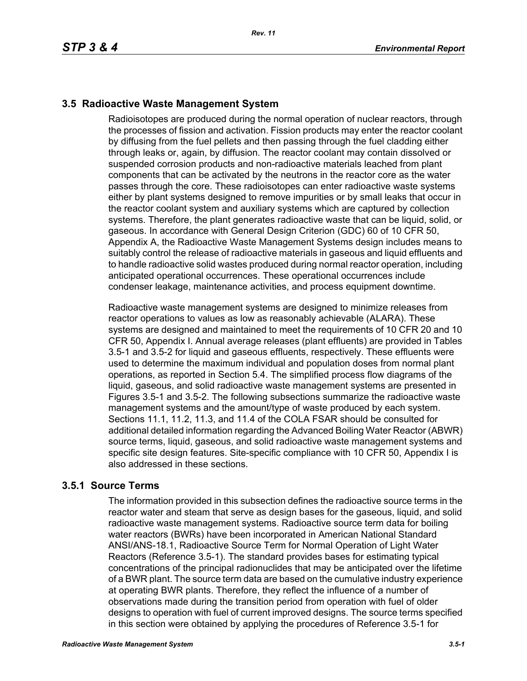# **3.5 Radioactive Waste Management System**

Radioisotopes are produced during the normal operation of nuclear reactors, through the processes of fission and activation. Fission products may enter the reactor coolant by diffusing from the fuel pellets and then passing through the fuel cladding either through leaks or, again, by diffusion. The reactor coolant may contain dissolved or suspended corrosion products and non-radioactive materials leached from plant components that can be activated by the neutrons in the reactor core as the water passes through the core. These radioisotopes can enter radioactive waste systems either by plant systems designed to remove impurities or by small leaks that occur in the reactor coolant system and auxiliary systems which are captured by collection systems. Therefore, the plant generates radioactive waste that can be liquid, solid, or gaseous. In accordance with General Design Criterion (GDC) 60 of 10 CFR 50, Appendix A, the Radioactive Waste Management Systems design includes means to suitably control the release of radioactive materials in gaseous and liquid effluents and to handle radioactive solid wastes produced during normal reactor operation, including anticipated operational occurrences. These operational occurrences include condenser leakage, maintenance activities, and process equipment downtime.

Radioactive waste management systems are designed to minimize releases from reactor operations to values as low as reasonably achievable (ALARA). These systems are designed and maintained to meet the requirements of 10 CFR 20 and 10 CFR 50, Appendix I. Annual average releases (plant effluents) are provided in Tables 3.5-1 and 3.5-2 for liquid and gaseous effluents, respectively. These effluents were used to determine the maximum individual and population doses from normal plant operations, as reported in Section 5.4. The simplified process flow diagrams of the liquid, gaseous, and solid radioactive waste management systems are presented in Figures 3.5-1 and 3.5-2. The following subsections summarize the radioactive waste management systems and the amount/type of waste produced by each system. Sections 11.1, 11.2, 11.3, and 11.4 of the COLA FSAR should be consulted for additional detailed information regarding the Advanced Boiling Water Reactor (ABWR) source terms, liquid, gaseous, and solid radioactive waste management systems and specific site design features. Site-specific compliance with 10 CFR 50, Appendix I is also addressed in these sections.

## **3.5.1 Source Terms**

The information provided in this subsection defines the radioactive source terms in the reactor water and steam that serve as design bases for the gaseous, liquid, and solid radioactive waste management systems. Radioactive source term data for boiling water reactors (BWRs) have been incorporated in American National Standard ANSI/ANS-18.1, Radioactive Source Term for Normal Operation of Light Water Reactors (Reference 3.5-1). The standard provides bases for estimating typical concentrations of the principal radionuclides that may be anticipated over the lifetime of a BWR plant. The source term data are based on the cumulative industry experience at operating BWR plants. Therefore, they reflect the influence of a number of observations made during the transition period from operation with fuel of older designs to operation with fuel of current improved designs. The source terms specified in this section were obtained by applying the procedures of Reference 3.5-1 for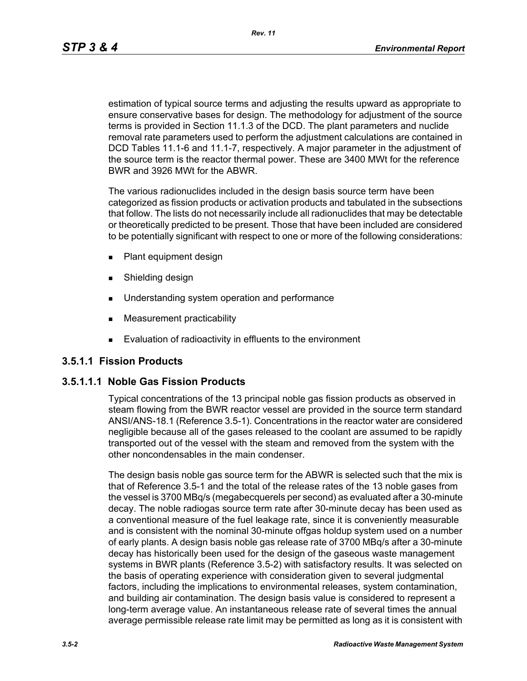*Rev. 11*

estimation of typical source terms and adjusting the results upward as appropriate to ensure conservative bases for design. The methodology for adjustment of the source terms is provided in Section 11.1.3 of the DCD. The plant parameters and nuclide removal rate parameters used to perform the adjustment calculations are contained in DCD Tables 11.1-6 and 11.1-7, respectively. A major parameter in the adjustment of the source term is the reactor thermal power. These are 3400 MWt for the reference BWR and 3926 MWt for the ABWR.

The various radionuclides included in the design basis source term have been categorized as fission products or activation products and tabulated in the subsections that follow. The lists do not necessarily include all radionuclides that may be detectable or theoretically predicted to be present. Those that have been included are considered to be potentially significant with respect to one or more of the following considerations:

- **Plant equipment design**
- **Burnelling design**
- **Understanding system operation and performance**
- **Measurement practicability**
- **Evaluation of radioactivity in effluents to the environment**

## **3.5.1.1 Fission Products**

## **3.5.1.1.1 Noble Gas Fission Products**

Typical concentrations of the 13 principal noble gas fission products as observed in steam flowing from the BWR reactor vessel are provided in the source term standard ANSI/ANS-18.1 (Reference 3.5-1). Concentrations in the reactor water are considered negligible because all of the gases released to the coolant are assumed to be rapidly transported out of the vessel with the steam and removed from the system with the other noncondensables in the main condenser.

The design basis noble gas source term for the ABWR is selected such that the mix is that of Reference 3.5-1 and the total of the release rates of the 13 noble gases from the vessel is 3700 MBq/s (megabecquerels per second) as evaluated after a 30-minute decay. The noble radiogas source term rate after 30-minute decay has been used as a conventional measure of the fuel leakage rate, since it is conveniently measurable and is consistent with the nominal 30-minute offgas holdup system used on a number of early plants. A design basis noble gas release rate of 3700 MBq/s after a 30-minute decay has historically been used for the design of the gaseous waste management systems in BWR plants (Reference 3.5-2) with satisfactory results. It was selected on the basis of operating experience with consideration given to several judgmental factors, including the implications to environmental releases, system contamination, and building air contamination. The design basis value is considered to represent a long-term average value. An instantaneous release rate of several times the annual average permissible release rate limit may be permitted as long as it is consistent with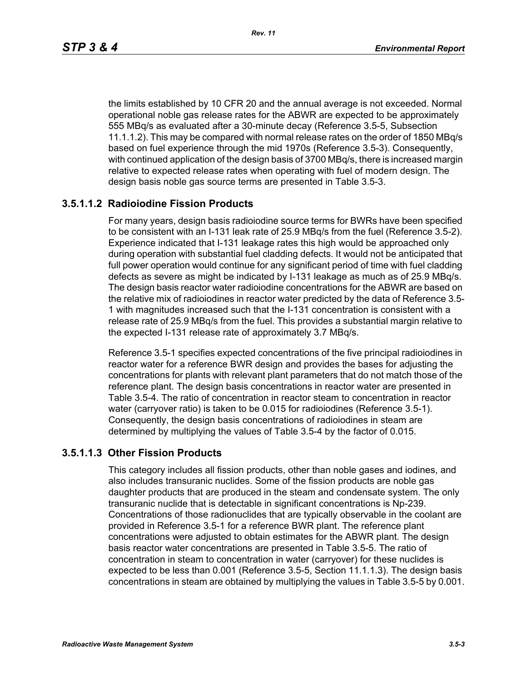the limits established by 10 CFR 20 and the annual average is not exceeded. Normal operational noble gas release rates for the ABWR are expected to be approximately 555 MBq/s as evaluated after a 30-minute decay (Reference 3.5-5, Subsection 11.1.1.2). This may be compared with normal release rates on the order of 1850 MBq/s based on fuel experience through the mid 1970s (Reference 3.5-3). Consequently, with continued application of the design basis of 3700 MBq/s, there is increased margin relative to expected release rates when operating with fuel of modern design. The design basis noble gas source terms are presented in Table 3.5-3.

## **3.5.1.1.2 Radioiodine Fission Products**

For many years, design basis radioiodine source terms for BWRs have been specified to be consistent with an I-131 leak rate of 25.9 MBq/s from the fuel (Reference 3.5-2). Experience indicated that I-131 leakage rates this high would be approached only during operation with substantial fuel cladding defects. It would not be anticipated that full power operation would continue for any significant period of time with fuel cladding defects as severe as might be indicated by I-131 leakage as much as of 25.9 MBq/s. The design basis reactor water radioiodine concentrations for the ABWR are based on the relative mix of radioiodines in reactor water predicted by the data of Reference 3.5- 1 with magnitudes increased such that the I-131 concentration is consistent with a release rate of 25.9 MBq/s from the fuel. This provides a substantial margin relative to the expected I-131 release rate of approximately 3.7 MBq/s.

Reference 3.5-1 specifies expected concentrations of the five principal radioiodines in reactor water for a reference BWR design and provides the bases for adjusting the concentrations for plants with relevant plant parameters that do not match those of the reference plant. The design basis concentrations in reactor water are presented in Table 3.5-4. The ratio of concentration in reactor steam to concentration in reactor water (carryover ratio) is taken to be 0.015 for radioiodines (Reference 3.5-1). Consequently, the design basis concentrations of radioiodines in steam are determined by multiplying the values of Table 3.5-4 by the factor of 0.015.

#### **3.5.1.1.3 Other Fission Products**

This category includes all fission products, other than noble gases and iodines, and also includes transuranic nuclides. Some of the fission products are noble gas daughter products that are produced in the steam and condensate system. The only transuranic nuclide that is detectable in significant concentrations is Np-239. Concentrations of those radionuclides that are typically observable in the coolant are provided in Reference 3.5-1 for a reference BWR plant. The reference plant concentrations were adjusted to obtain estimates for the ABWR plant. The design basis reactor water concentrations are presented in Table 3.5-5. The ratio of concentration in steam to concentration in water (carryover) for these nuclides is expected to be less than 0.001 (Reference 3.5-5, Section 11.1.1.3). The design basis concentrations in steam are obtained by multiplying the values in Table 3.5-5 by 0.001.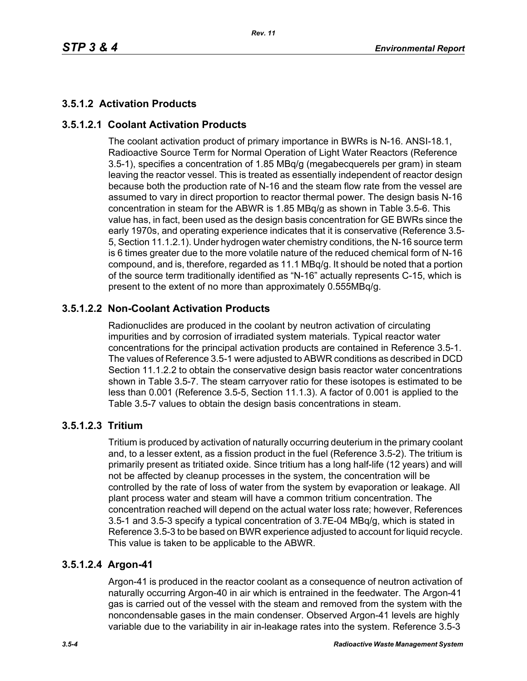## **3.5.1.2 Activation Products**

### **3.5.1.2.1 Coolant Activation Products**

The coolant activation product of primary importance in BWRs is N-16. ANSI-18.1, Radioactive Source Term for Normal Operation of Light Water Reactors (Reference 3.5-1), specifies a concentration of 1.85 MBq/g (megabecquerels per gram) in steam leaving the reactor vessel. This is treated as essentially independent of reactor design because both the production rate of N-16 and the steam flow rate from the vessel are assumed to vary in direct proportion to reactor thermal power. The design basis N-16 concentration in steam for the ABWR is 1.85 MBq/g as shown in Table 3.5-6. This value has, in fact, been used as the design basis concentration for GE BWRs since the early 1970s, and operating experience indicates that it is conservative (Reference 3.5- 5, Section 11.1.2.1). Under hydrogen water chemistry conditions, the N-16 source term is 6 times greater due to the more volatile nature of the reduced chemical form of N-16 compound, and is, therefore, regarded as 11.1 MBq/g. It should be noted that a portion of the source term traditionally identified as "N-16" actually represents C-15, which is present to the extent of no more than approximately 0.555MBq/g.

### **3.5.1.2.2 Non-Coolant Activation Products**

Radionuclides are produced in the coolant by neutron activation of circulating impurities and by corrosion of irradiated system materials. Typical reactor water concentrations for the principal activation products are contained in Reference 3.5-1. The values of Reference 3.5-1 were adjusted to ABWR conditions as described in DCD Section 11.1.2.2 to obtain the conservative design basis reactor water concentrations shown in Table 3.5-7. The steam carryover ratio for these isotopes is estimated to be less than 0.001 (Reference 3.5-5, Section 11.1.3). A factor of 0.001 is applied to the Table 3.5-7 values to obtain the design basis concentrations in steam.

#### **3.5.1.2.3 Tritium**

Tritium is produced by activation of naturally occurring deuterium in the primary coolant and, to a lesser extent, as a fission product in the fuel (Reference 3.5-2). The tritium is primarily present as tritiated oxide. Since tritium has a long half-life (12 years) and will not be affected by cleanup processes in the system, the concentration will be controlled by the rate of loss of water from the system by evaporation or leakage. All plant process water and steam will have a common tritium concentration. The concentration reached will depend on the actual water loss rate; however, References 3.5-1 and 3.5-3 specify a typical concentration of 3.7E-04 MBq/g, which is stated in Reference 3.5-3 to be based on BWR experience adjusted to account for liquid recycle. This value is taken to be applicable to the ABWR.

#### **3.5.1.2.4 Argon-41**

Argon-41 is produced in the reactor coolant as a consequence of neutron activation of naturally occurring Argon-40 in air which is entrained in the feedwater. The Argon-41 gas is carried out of the vessel with the steam and removed from the system with the noncondensable gases in the main condenser. Observed Argon-41 levels are highly variable due to the variability in air in-leakage rates into the system. Reference 3.5-3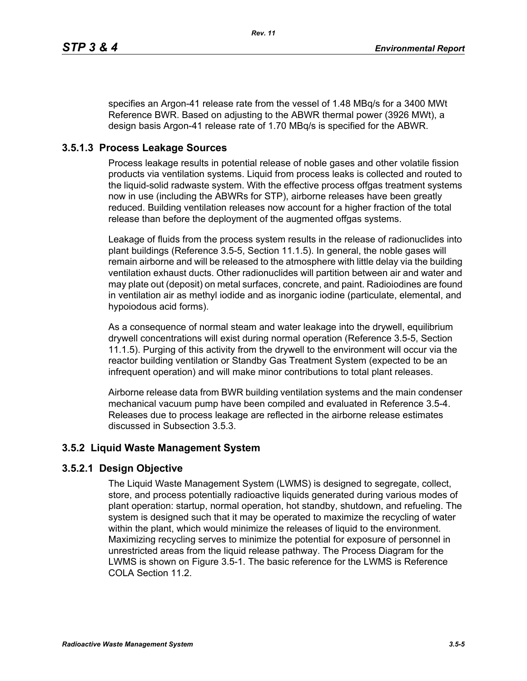specifies an Argon-41 release rate from the vessel of 1.48 MBq/s for a 3400 MWt Reference BWR. Based on adjusting to the ABWR thermal power (3926 MWt), a design basis Argon-41 release rate of 1.70 MBq/s is specified for the ABWR.

## **3.5.1.3 Process Leakage Sources**

Process leakage results in potential release of noble gases and other volatile fission products via ventilation systems. Liquid from process leaks is collected and routed to the liquid-solid radwaste system. With the effective process offgas treatment systems now in use (including the ABWRs for STP), airborne releases have been greatly reduced. Building ventilation releases now account for a higher fraction of the total release than before the deployment of the augmented offgas systems.

Leakage of fluids from the process system results in the release of radionuclides into plant buildings (Reference 3.5-5, Section 11.1.5). In general, the noble gases will remain airborne and will be released to the atmosphere with little delay via the building ventilation exhaust ducts. Other radionuclides will partition between air and water and may plate out (deposit) on metal surfaces, concrete, and paint. Radioiodines are found in ventilation air as methyl iodide and as inorganic iodine (particulate, elemental, and hypoiodous acid forms).

As a consequence of normal steam and water leakage into the drywell, equilibrium drywell concentrations will exist during normal operation (Reference 3.5-5, Section 11.1.5). Purging of this activity from the drywell to the environment will occur via the reactor building ventilation or Standby Gas Treatment System (expected to be an infrequent operation) and will make minor contributions to total plant releases.

Airborne release data from BWR building ventilation systems and the main condenser mechanical vacuum pump have been compiled and evaluated in Reference 3.5-4. Releases due to process leakage are reflected in the airborne release estimates discussed in Subsection 3.5.3.

## **3.5.2 Liquid Waste Management System**

## **3.5.2.1 Design Objective**

The Liquid Waste Management System (LWMS) is designed to segregate, collect, store, and process potentially radioactive liquids generated during various modes of plant operation: startup, normal operation, hot standby, shutdown, and refueling. The system is designed such that it may be operated to maximize the recycling of water within the plant, which would minimize the releases of liquid to the environment. Maximizing recycling serves to minimize the potential for exposure of personnel in unrestricted areas from the liquid release pathway. The Process Diagram for the LWMS is shown on Figure 3.5-1. The basic reference for the LWMS is Reference COLA Section 11.2.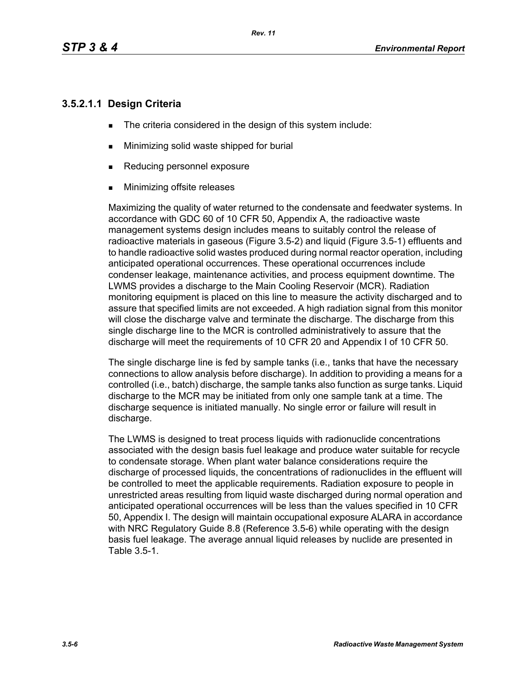# **3.5.2.1.1 Design Criteria**

- The criteria considered in the design of this system include:
- **Minimizing solid waste shipped for burial**
- Reducing personnel exposure
- **Minimizing offsite releases**

Maximizing the quality of water returned to the condensate and feedwater systems. In accordance with GDC 60 of 10 CFR 50, Appendix A, the radioactive waste management systems design includes means to suitably control the release of radioactive materials in gaseous (Figure 3.5-2) and liquid (Figure 3.5-1) effluents and to handle radioactive solid wastes produced during normal reactor operation, including anticipated operational occurrences. These operational occurrences include condenser leakage, maintenance activities, and process equipment downtime. The LWMS provides a discharge to the Main Cooling Reservoir (MCR). Radiation monitoring equipment is placed on this line to measure the activity discharged and to assure that specified limits are not exceeded. A high radiation signal from this monitor will close the discharge valve and terminate the discharge. The discharge from this single discharge line to the MCR is controlled administratively to assure that the discharge will meet the requirements of 10 CFR 20 and Appendix I of 10 CFR 50.

The single discharge line is fed by sample tanks (i.e., tanks that have the necessary connections to allow analysis before discharge). In addition to providing a means for a controlled (i.e., batch) discharge, the sample tanks also function as surge tanks. Liquid discharge to the MCR may be initiated from only one sample tank at a time. The discharge sequence is initiated manually. No single error or failure will result in discharge.

The LWMS is designed to treat process liquids with radionuclide concentrations associated with the design basis fuel leakage and produce water suitable for recycle to condensate storage. When plant water balance considerations require the discharge of processed liquids, the concentrations of radionuclides in the effluent will be controlled to meet the applicable requirements. Radiation exposure to people in unrestricted areas resulting from liquid waste discharged during normal operation and anticipated operational occurrences will be less than the values specified in 10 CFR 50, Appendix I. The design will maintain occupational exposure ALARA in accordance with NRC Regulatory Guide 8.8 (Reference 3.5-6) while operating with the design basis fuel leakage. The average annual liquid releases by nuclide are presented in Table 3.5-1.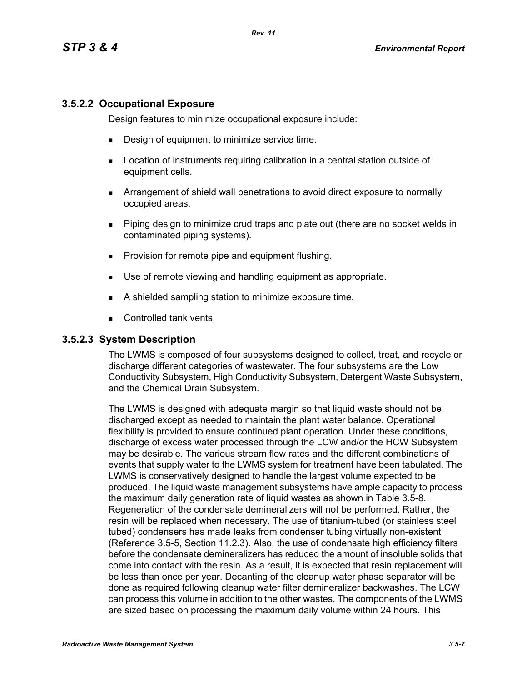### **3.5.2.2 Occupational Exposure**

Design features to minimize occupational exposure include:

- **Design of equipment to minimize service time.**
- **EXECT** Location of instruments requiring calibration in a central station outside of equipment cells.
- Arrangement of shield wall penetrations to avoid direct exposure to normally occupied areas.
- Piping design to minimize crud traps and plate out (there are no socket welds in contaminated piping systems).
- **Provision for remote pipe and equipment flushing.**
- Use of remote viewing and handling equipment as appropriate.
- A shielded sampling station to minimize exposure time.
- Controlled tank vents.

#### **3.5.2.3 System Description**

The LWMS is composed of four subsystems designed to collect, treat, and recycle or discharge different categories of wastewater. The four subsystems are the Low Conductivity Subsystem, High Conductivity Subsystem, Detergent Waste Subsystem, and the Chemical Drain Subsystem.

The LWMS is designed with adequate margin so that liquid waste should not be discharged except as needed to maintain the plant water balance. Operational flexibility is provided to ensure continued plant operation. Under these conditions, discharge of excess water processed through the LCW and/or the HCW Subsystem may be desirable. The various stream flow rates and the different combinations of events that supply water to the LWMS system for treatment have been tabulated. The LWMS is conservatively designed to handle the largest volume expected to be produced. The liquid waste management subsystems have ample capacity to process the maximum daily generation rate of liquid wastes as shown in Table 3.5-8. Regeneration of the condensate demineralizers will not be performed. Rather, the resin will be replaced when necessary. The use of titanium-tubed (or stainless steel tubed) condensers has made leaks from condenser tubing virtually non-existent (Reference 3.5-5, Section 11.2.3). Also, the use of condensate high efficiency filters before the condensate demineralizers has reduced the amount of insoluble solids that come into contact with the resin. As a result, it is expected that resin replacement will be less than once per year. Decanting of the cleanup water phase separator will be done as required following cleanup water filter demineralizer backwashes. The LCW can process this volume in addition to the other wastes. The components of the LWMS are sized based on processing the maximum daily volume within 24 hours. This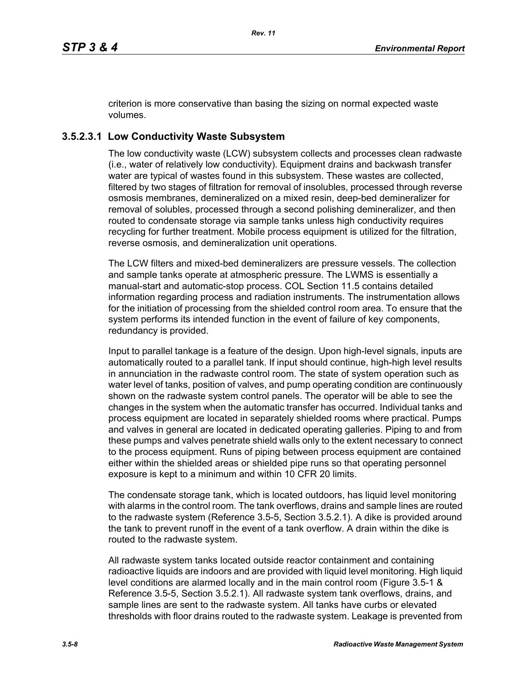criterion is more conservative than basing the sizing on normal expected waste volumes.

# **3.5.2.3.1 Low Conductivity Waste Subsystem**

The low conductivity waste (LCW) subsystem collects and processes clean radwaste (i.e., water of relatively low conductivity). Equipment drains and backwash transfer water are typical of wastes found in this subsystem. These wastes are collected, filtered by two stages of filtration for removal of insolubles, processed through reverse osmosis membranes, demineralized on a mixed resin, deep-bed demineralizer for removal of solubles, processed through a second polishing demineralizer, and then routed to condensate storage via sample tanks unless high conductivity requires recycling for further treatment. Mobile process equipment is utilized for the filtration, reverse osmosis, and demineralization unit operations.

The LCW filters and mixed-bed demineralizers are pressure vessels. The collection and sample tanks operate at atmospheric pressure. The LWMS is essentially a manual-start and automatic-stop process. COL Section 11.5 contains detailed information regarding process and radiation instruments. The instrumentation allows for the initiation of processing from the shielded control room area. To ensure that the system performs its intended function in the event of failure of key components, redundancy is provided.

Input to parallel tankage is a feature of the design. Upon high-level signals, inputs are automatically routed to a parallel tank. If input should continue, high-high level results in annunciation in the radwaste control room. The state of system operation such as water level of tanks, position of valves, and pump operating condition are continuously shown on the radwaste system control panels. The operator will be able to see the changes in the system when the automatic transfer has occurred. Individual tanks and process equipment are located in separately shielded rooms where practical. Pumps and valves in general are located in dedicated operating galleries. Piping to and from these pumps and valves penetrate shield walls only to the extent necessary to connect to the process equipment. Runs of piping between process equipment are contained either within the shielded areas or shielded pipe runs so that operating personnel exposure is kept to a minimum and within 10 CFR 20 limits.

The condensate storage tank, which is located outdoors, has liquid level monitoring with alarms in the control room. The tank overflows, drains and sample lines are routed to the radwaste system (Reference 3.5-5, Section 3.5.2.1). A dike is provided around the tank to prevent runoff in the event of a tank overflow. A drain within the dike is routed to the radwaste system.

All radwaste system tanks located outside reactor containment and containing radioactive liquids are indoors and are provided with liquid level monitoring. High liquid level conditions are alarmed locally and in the main control room (Figure 3.5-1 & Reference 3.5-5, Section 3.5.2.1). All radwaste system tank overflows, drains, and sample lines are sent to the radwaste system. All tanks have curbs or elevated thresholds with floor drains routed to the radwaste system. Leakage is prevented from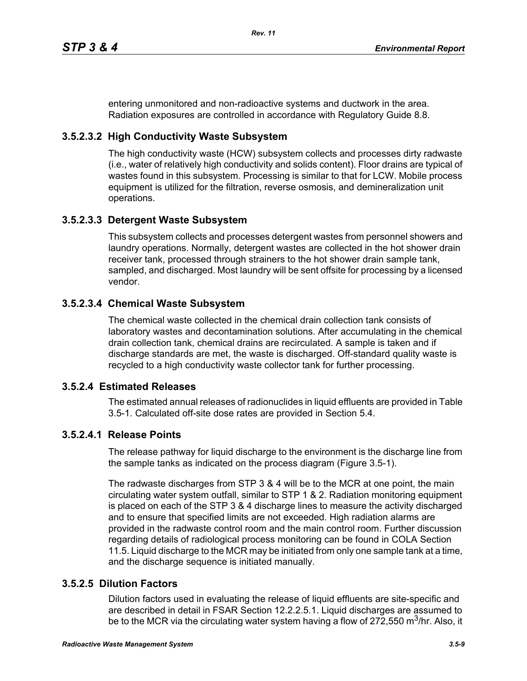entering unmonitored and non-radioactive systems and ductwork in the area. Radiation exposures are controlled in accordance with Regulatory Guide 8.8.

# **3.5.2.3.2 High Conductivity Waste Subsystem**

The high conductivity waste (HCW) subsystem collects and processes dirty radwaste (i.e., water of relatively high conductivity and solids content). Floor drains are typical of wastes found in this subsystem. Processing is similar to that for LCW. Mobile process equipment is utilized for the filtration, reverse osmosis, and demineralization unit operations.

## **3.5.2.3.3 Detergent Waste Subsystem**

This subsystem collects and processes detergent wastes from personnel showers and laundry operations. Normally, detergent wastes are collected in the hot shower drain receiver tank, processed through strainers to the hot shower drain sample tank, sampled, and discharged. Most laundry will be sent offsite for processing by a licensed vendor.

## **3.5.2.3.4 Chemical Waste Subsystem**

The chemical waste collected in the chemical drain collection tank consists of laboratory wastes and decontamination solutions. After accumulating in the chemical drain collection tank, chemical drains are recirculated. A sample is taken and if discharge standards are met, the waste is discharged. Off-standard quality waste is recycled to a high conductivity waste collector tank for further processing.

## **3.5.2.4 Estimated Releases**

The estimated annual releases of radionuclides in liquid effluents are provided in Table 3.5-1. Calculated off-site dose rates are provided in Section 5.4.

# **3.5.2.4.1 Release Points**

The release pathway for liquid discharge to the environment is the discharge line from the sample tanks as indicated on the process diagram (Figure 3.5-1).

The radwaste discharges from STP 3 & 4 will be to the MCR at one point, the main circulating water system outfall, similar to STP 1 & 2. Radiation monitoring equipment is placed on each of the STP 3 & 4 discharge lines to measure the activity discharged and to ensure that specified limits are not exceeded. High radiation alarms are provided in the radwaste control room and the main control room. Further discussion regarding details of radiological process monitoring can be found in COLA Section 11.5. Liquid discharge to the MCR may be initiated from only one sample tank at a time, and the discharge sequence is initiated manually.

# **3.5.2.5 Dilution Factors**

Dilution factors used in evaluating the release of liquid effluents are site-specific and are described in detail in FSAR Section 12.2.2.5.1. Liquid discharges are assumed to be to the MCR via the circulating water system having a flow of 272,550 m<sup>3</sup>/hr. Also, it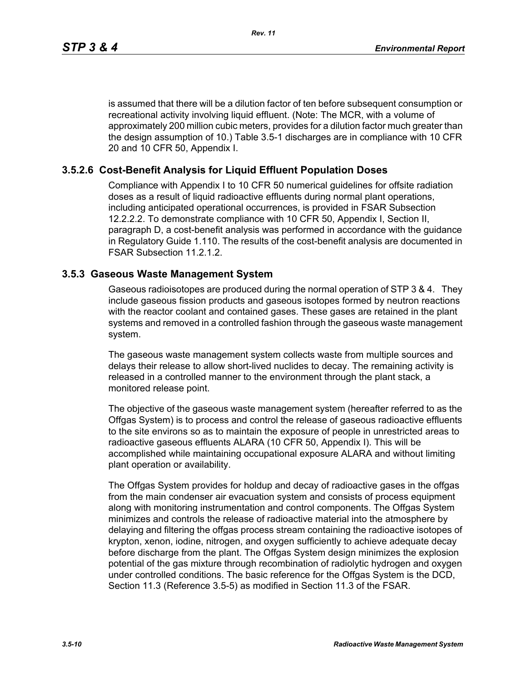is assumed that there will be a dilution factor of ten before subsequent consumption or recreational activity involving liquid effluent. (Note: The MCR, with a volume of approximately 200 million cubic meters, provides for a dilution factor much greater than the design assumption of 10.) Table 3.5-1 discharges are in compliance with 10 CFR 20 and 10 CFR 50, Appendix I.

### **3.5.2.6 Cost-Benefit Analysis for Liquid Effluent Population Doses**

Compliance with Appendix I to 10 CFR 50 numerical guidelines for offsite radiation doses as a result of liquid radioactive effluents during normal plant operations, including anticipated operational occurrences, is provided in FSAR Subsection 12.2.2.2. To demonstrate compliance with 10 CFR 50, Appendix I, Section II, paragraph D, a cost-benefit analysis was performed in accordance with the guidance in Regulatory Guide 1.110. The results of the cost-benefit analysis are documented in FSAR Subsection 11.2.1.2.

#### **3.5.3 Gaseous Waste Management System**

Gaseous radioisotopes are produced during the normal operation of STP 3 & 4. They include gaseous fission products and gaseous isotopes formed by neutron reactions with the reactor coolant and contained gases. These gases are retained in the plant systems and removed in a controlled fashion through the gaseous waste management system.

The gaseous waste management system collects waste from multiple sources and delays their release to allow short-lived nuclides to decay. The remaining activity is released in a controlled manner to the environment through the plant stack, a monitored release point.

The objective of the gaseous waste management system (hereafter referred to as the Offgas System) is to process and control the release of gaseous radioactive effluents to the site environs so as to maintain the exposure of people in unrestricted areas to radioactive gaseous effluents ALARA (10 CFR 50, Appendix I). This will be accomplished while maintaining occupational exposure ALARA and without limiting plant operation or availability.

The Offgas System provides for holdup and decay of radioactive gases in the offgas from the main condenser air evacuation system and consists of process equipment along with monitoring instrumentation and control components. The Offgas System minimizes and controls the release of radioactive material into the atmosphere by delaying and filtering the offgas process stream containing the radioactive isotopes of krypton, xenon, iodine, nitrogen, and oxygen sufficiently to achieve adequate decay before discharge from the plant. The Offgas System design minimizes the explosion potential of the gas mixture through recombination of radiolytic hydrogen and oxygen under controlled conditions. The basic reference for the Offgas System is the DCD, Section 11.3 (Reference 3.5-5) as modified in Section 11.3 of the FSAR.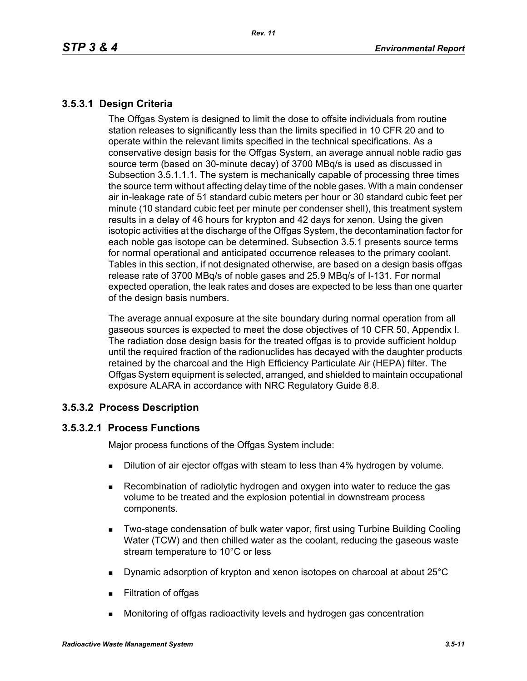# **3.5.3.1 Design Criteria**

The Offgas System is designed to limit the dose to offsite individuals from routine station releases to significantly less than the limits specified in 10 CFR 20 and to operate within the relevant limits specified in the technical specifications. As a conservative design basis for the Offgas System, an average annual noble radio gas source term (based on 30-minute decay) of 3700 MBq/s is used as discussed in Subsection 3.5.1.1.1. The system is mechanically capable of processing three times the source term without affecting delay time of the noble gases. With a main condenser air in-leakage rate of 51 standard cubic meters per hour or 30 standard cubic feet per minute (10 standard cubic feet per minute per condenser shell), this treatment system results in a delay of 46 hours for krypton and 42 days for xenon. Using the given isotopic activities at the discharge of the Offgas System, the decontamination factor for each noble gas isotope can be determined. Subsection 3.5.1 presents source terms for normal operational and anticipated occurrence releases to the primary coolant. Tables in this section, if not designated otherwise, are based on a design basis offgas release rate of 3700 MBq/s of noble gases and 25.9 MBq/s of I-131. For normal expected operation, the leak rates and doses are expected to be less than one quarter of the design basis numbers.

The average annual exposure at the site boundary during normal operation from all gaseous sources is expected to meet the dose objectives of 10 CFR 50, Appendix I. The radiation dose design basis for the treated offgas is to provide sufficient holdup until the required fraction of the radionuclides has decayed with the daughter products retained by the charcoal and the High Efficiency Particulate Air (HEPA) filter. The Offgas System equipment is selected, arranged, and shielded to maintain occupational exposure ALARA in accordance with NRC Regulatory Guide 8.8.

## **3.5.3.2 Process Description**

## **3.5.3.2.1 Process Functions**

Major process functions of the Offgas System include:

- **Dilution of air ejector offgas with steam to less than 4% hydrogen by volume.**
- Recombination of radiolytic hydrogen and oxygen into water to reduce the gas volume to be treated and the explosion potential in downstream process components.
- **Two-stage condensation of bulk water vapor, first using Turbine Building Cooling** Water (TCW) and then chilled water as the coolant, reducing the gaseous waste stream temperature to 10°C or less
- Dynamic adsorption of krypton and xenon isotopes on charcoal at about 25°C
- **Filtration of offgas**
- Monitoring of offgas radioactivity levels and hydrogen gas concentration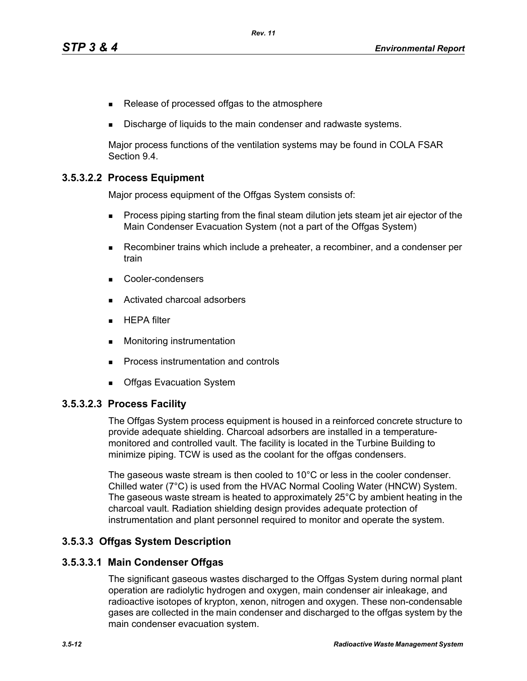- Release of processed offgas to the atmosphere
- Discharge of liquids to the main condenser and radwaste systems.

Major process functions of the ventilation systems may be found in COLA FSAR Section 9.4.

### **3.5.3.2.2 Process Equipment**

Major process equipment of the Offgas System consists of:

- **Process piping starting from the final steam dilution jets steam jet air ejector of the** Main Condenser Evacuation System (not a part of the Offgas System)
- Recombiner trains which include a preheater, a recombiner, and a condenser per train
- Cooler-condensers
- Activated charcoal adsorbers
- $HEPA$  filter
- **Monitoring instrumentation**
- **Process instrumentation and controls**
- **Deal** Offgas Evacuation System

#### **3.5.3.2.3 Process Facility**

The Offgas System process equipment is housed in a reinforced concrete structure to provide adequate shielding. Charcoal adsorbers are installed in a temperaturemonitored and controlled vault. The facility is located in the Turbine Building to minimize piping. TCW is used as the coolant for the offgas condensers.

The gaseous waste stream is then cooled to 10°C or less in the cooler condenser. Chilled water (7°C) is used from the HVAC Normal Cooling Water (HNCW) System. The gaseous waste stream is heated to approximately 25°C by ambient heating in the charcoal vault. Radiation shielding design provides adequate protection of instrumentation and plant personnel required to monitor and operate the system.

#### **3.5.3.3 Offgas System Description**

#### **3.5.3.3.1 Main Condenser Offgas**

The significant gaseous wastes discharged to the Offgas System during normal plant operation are radiolytic hydrogen and oxygen, main condenser air inleakage, and radioactive isotopes of krypton, xenon, nitrogen and oxygen. These non-condensable gases are collected in the main condenser and discharged to the offgas system by the main condenser evacuation system.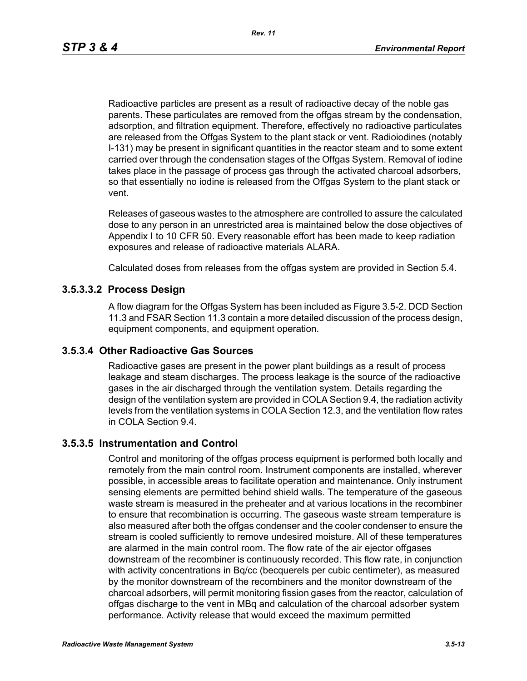Radioactive particles are present as a result of radioactive decay of the noble gas parents. These particulates are removed from the offgas stream by the condensation, adsorption, and filtration equipment. Therefore, effectively no radioactive particulates are released from the Offgas System to the plant stack or vent. Radioiodines (notably I-131) may be present in significant quantities in the reactor steam and to some extent carried over through the condensation stages of the Offgas System. Removal of iodine takes place in the passage of process gas through the activated charcoal adsorbers, so that essentially no iodine is released from the Offgas System to the plant stack or vent.

Releases of gaseous wastes to the atmosphere are controlled to assure the calculated dose to any person in an unrestricted area is maintained below the dose objectives of Appendix I to 10 CFR 50. Every reasonable effort has been made to keep radiation exposures and release of radioactive materials ALARA.

Calculated doses from releases from the offgas system are provided in Section 5.4.

#### **3.5.3.3.2 Process Design**

A flow diagram for the Offgas System has been included as Figure 3.5-2. DCD Section 11.3 and FSAR Section 11.3 contain a more detailed discussion of the process design, equipment components, and equipment operation.

#### **3.5.3.4 Other Radioactive Gas Sources**

Radioactive gases are present in the power plant buildings as a result of process leakage and steam discharges. The process leakage is the source of the radioactive gases in the air discharged through the ventilation system. Details regarding the design of the ventilation system are provided in COLA Section 9.4, the radiation activity levels from the ventilation systems in COLA Section 12.3, and the ventilation flow rates in COLA Section 9.4.

#### **3.5.3.5 Instrumentation and Control**

Control and monitoring of the offgas process equipment is performed both locally and remotely from the main control room. Instrument components are installed, wherever possible, in accessible areas to facilitate operation and maintenance. Only instrument sensing elements are permitted behind shield walls. The temperature of the gaseous waste stream is measured in the preheater and at various locations in the recombiner to ensure that recombination is occurring. The gaseous waste stream temperature is also measured after both the offgas condenser and the cooler condenser to ensure the stream is cooled sufficiently to remove undesired moisture. All of these temperatures are alarmed in the main control room. The flow rate of the air ejector offgases downstream of the recombiner is continuously recorded. This flow rate, in conjunction with activity concentrations in Bq/cc (becquerels per cubic centimeter), as measured by the monitor downstream of the recombiners and the monitor downstream of the charcoal adsorbers, will permit monitoring fission gases from the reactor, calculation of offgas discharge to the vent in MBq and calculation of the charcoal adsorber system performance. Activity release that would exceed the maximum permitted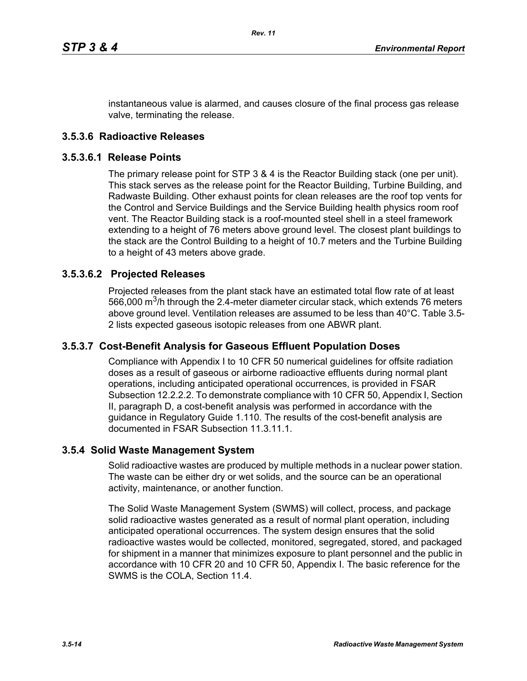instantaneous value is alarmed, and causes closure of the final process gas release valve, terminating the release.

### **3.5.3.6 Radioactive Releases**

#### **3.5.3.6.1 Release Points**

The primary release point for STP 3 & 4 is the Reactor Building stack (one per unit). This stack serves as the release point for the Reactor Building, Turbine Building, and Radwaste Building. Other exhaust points for clean releases are the roof top vents for the Control and Service Buildings and the Service Building health physics room roof vent. The Reactor Building stack is a roof-mounted steel shell in a steel framework extending to a height of 76 meters above ground level. The closest plant buildings to the stack are the Control Building to a height of 10.7 meters and the Turbine Building to a height of 43 meters above grade.

#### **3.5.3.6.2 Projected Releases**

Projected releases from the plant stack have an estimated total flow rate of at least 566,000  $\mathrm{m}^3$ /h through the 2.4-meter diameter circular stack, which extends 76 meters above ground level. Ventilation releases are assumed to be less than 40°C. Table 3.5- 2 lists expected gaseous isotopic releases from one ABWR plant.

#### **3.5.3.7 Cost-Benefit Analysis for Gaseous Effluent Population Doses**

Compliance with Appendix I to 10 CFR 50 numerical guidelines for offsite radiation doses as a result of gaseous or airborne radioactive effluents during normal plant operations, including anticipated operational occurrences, is provided in FSAR Subsection 12.2.2.2. To demonstrate compliance with 10 CFR 50, Appendix I, Section II, paragraph D, a cost-benefit analysis was performed in accordance with the guidance in Regulatory Guide 1.110. The results of the cost-benefit analysis are documented in FSAR Subsection 11.3.11.1.

#### **3.5.4 Solid Waste Management System**

Solid radioactive wastes are produced by multiple methods in a nuclear power station. The waste can be either dry or wet solids, and the source can be an operational activity, maintenance, or another function.

The Solid Waste Management System (SWMS) will collect, process, and package solid radioactive wastes generated as a result of normal plant operation, including anticipated operational occurrences. The system design ensures that the solid radioactive wastes would be collected, monitored, segregated, stored, and packaged for shipment in a manner that minimizes exposure to plant personnel and the public in accordance with 10 CFR 20 and 10 CFR 50, Appendix I. The basic reference for the SWMS is the COLA, Section 11.4.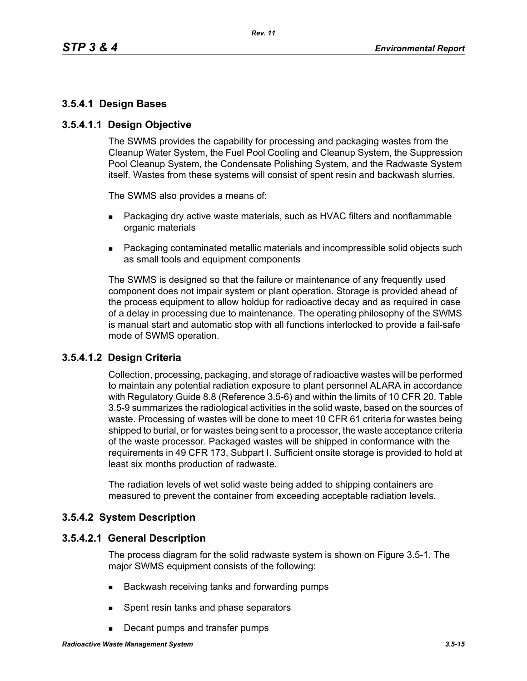## **3.5.4.1 Design Bases**

### **3.5.4.1.1 Design Objective**

The SWMS provides the capability for processing and packaging wastes from the Cleanup Water System, the Fuel Pool Cooling and Cleanup System, the Suppression Pool Cleanup System, the Condensate Polishing System, and the Radwaste System itself. Wastes from these systems will consist of spent resin and backwash slurries.

The SWMS also provides a means of:

- **Packaging dry active waste materials, such as HVAC filters and nonflammable** organic materials
- Packaging contaminated metallic materials and incompressible solid objects such as small tools and equipment components

The SWMS is designed so that the failure or maintenance of any frequently used component does not impair system or plant operation. Storage is provided ahead of the process equipment to allow holdup for radioactive decay and as required in case of a delay in processing due to maintenance. The operating philosophy of the SWMS is manual start and automatic stop with all functions interlocked to provide a fail-safe mode of SWMS operation.

## **3.5.4.1.2 Design Criteria**

Collection, processing, packaging, and storage of radioactive wastes will be performed to maintain any potential radiation exposure to plant personnel ALARA in accordance with Regulatory Guide 8.8 (Reference 3.5-6) and within the limits of 10 CFR 20. Table 3.5-9 summarizes the radiological activities in the solid waste, based on the sources of waste. Processing of wastes will be done to meet 10 CFR 61 criteria for wastes being shipped to burial, or for wastes being sent to a processor, the waste acceptance criteria of the waste processor. Packaged wastes will be shipped in conformance with the requirements in 49 CFR 173, Subpart I. Sufficient onsite storage is provided to hold at least six months production of radwaste.

The radiation levels of wet solid waste being added to shipping containers are measured to prevent the container from exceeding acceptable radiation levels.

## **3.5.4.2 System Description**

#### **3.5.4.2.1 General Description**

The process diagram for the solid radwaste system is shown on Figure 3.5-1. The major SWMS equipment consists of the following:

- Backwash receiving tanks and forwarding pumps
- **Spent resin tanks and phase separators**
- Decant pumps and transfer pumps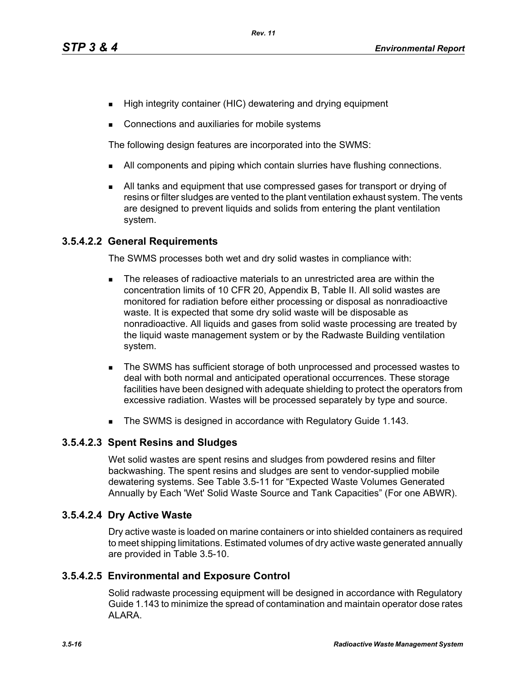- High integrity container (HIC) dewatering and drying equipment
- **Connections and auxiliaries for mobile systems**

The following design features are incorporated into the SWMS:

- I All components and piping which contain slurries have flushing connections.
- All tanks and equipment that use compressed gases for transport or drying of resins or filter sludges are vented to the plant ventilation exhaust system. The vents are designed to prevent liquids and solids from entering the plant ventilation system.

#### **3.5.4.2.2 General Requirements**

The SWMS processes both wet and dry solid wastes in compliance with:

- The releases of radioactive materials to an unrestricted area are within the concentration limits of 10 CFR 20, Appendix B, Table II. All solid wastes are monitored for radiation before either processing or disposal as nonradioactive waste. It is expected that some dry solid waste will be disposable as nonradioactive. All liquids and gases from solid waste processing are treated by the liquid waste management system or by the Radwaste Building ventilation system.
- The SWMS has sufficient storage of both unprocessed and processed wastes to deal with both normal and anticipated operational occurrences. These storage facilities have been designed with adequate shielding to protect the operators from excessive radiation. Wastes will be processed separately by type and source.
- The SWMS is designed in accordance with Regulatory Guide 1.143.

#### **3.5.4.2.3 Spent Resins and Sludges**

Wet solid wastes are spent resins and sludges from powdered resins and filter backwashing. The spent resins and sludges are sent to vendor-supplied mobile dewatering systems. See Table 3.5-11 for "Expected Waste Volumes Generated Annually by Each 'Wet' Solid Waste Source and Tank Capacities" (For one ABWR).

#### **3.5.4.2.4 Dry Active Waste**

Dry active waste is loaded on marine containers or into shielded containers as required to meet shipping limitations. Estimated volumes of dry active waste generated annually are provided in Table 3.5-10.

#### **3.5.4.2.5 Environmental and Exposure Control**

Solid radwaste processing equipment will be designed in accordance with Regulatory Guide 1.143 to minimize the spread of contamination and maintain operator dose rates ALARA.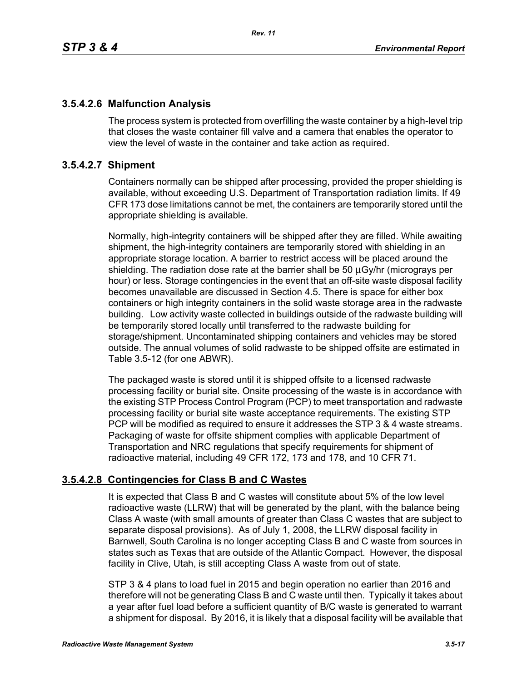## **3.5.4.2.6 Malfunction Analysis**

The process system is protected from overfilling the waste container by a high-level trip that closes the waste container fill valve and a camera that enables the operator to view the level of waste in the container and take action as required.

# **3.5.4.2.7 Shipment**

Containers normally can be shipped after processing, provided the proper shielding is available, without exceeding U.S. Department of Transportation radiation limits. If 49 CFR 173 dose limitations cannot be met, the containers are temporarily stored until the appropriate shielding is available.

Normally, high-integrity containers will be shipped after they are filled. While awaiting shipment, the high-integrity containers are temporarily stored with shielding in an appropriate storage location. A barrier to restrict access will be placed around the shielding. The radiation dose rate at the barrier shall be 50 μGy/hr (micrograys per hour) or less. Storage contingencies in the event that an off-site waste disposal facility becomes unavailable are discussed in Section 4.5. There is space for either box containers or high integrity containers in the solid waste storage area in the radwaste building. Low activity waste collected in buildings outside of the radwaste building will be temporarily stored locally until transferred to the radwaste building for storage/shipment. Uncontaminated shipping containers and vehicles may be stored outside. The annual volumes of solid radwaste to be shipped offsite are estimated in Table 3.5-12 (for one ABWR).

The packaged waste is stored until it is shipped offsite to a licensed radwaste processing facility or burial site. Onsite processing of the waste is in accordance with the existing STP Process Control Program (PCP) to meet transportation and radwaste processing facility or burial site waste acceptance requirements. The existing STP PCP will be modified as required to ensure it addresses the STP 3 & 4 waste streams. Packaging of waste for offsite shipment complies with applicable Department of Transportation and NRC regulations that specify requirements for shipment of radioactive material, including 49 CFR 172, 173 and 178, and 10 CFR 71.

# **3.5.4.2.8 Contingencies for Class B and C Wastes**

It is expected that Class B and C wastes will constitute about 5% of the low level radioactive waste (LLRW) that will be generated by the plant, with the balance being Class A waste (with small amounts of greater than Class C wastes that are subject to separate disposal provisions). As of July 1, 2008, the LLRW disposal facility in Barnwell, South Carolina is no longer accepting Class B and C waste from sources in states such as Texas that are outside of the Atlantic Compact. However, the disposal facility in Clive, Utah, is still accepting Class A waste from out of state.

STP 3 & 4 plans to load fuel in 2015 and begin operation no earlier than 2016 and therefore will not be generating Class B and C waste until then. Typically it takes about a year after fuel load before a sufficient quantity of B/C waste is generated to warrant a shipment for disposal. By 2016, it is likely that a disposal facility will be available that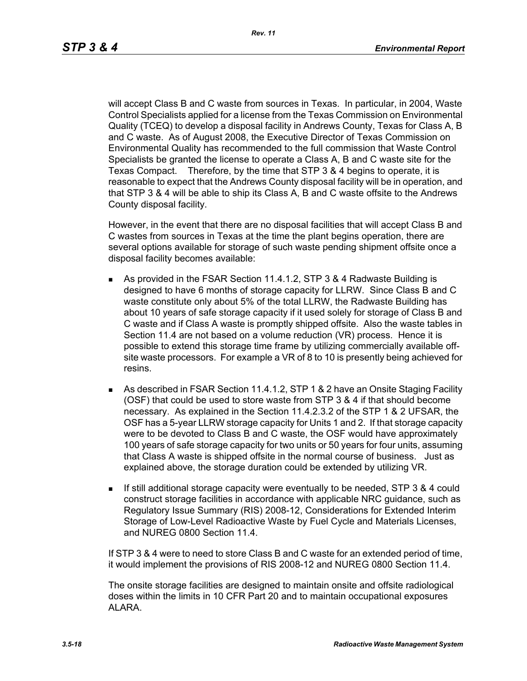will accept Class B and C waste from sources in Texas. In particular, in 2004, Waste Control Specialists applied for a license from the Texas Commission on Environmental Quality (TCEQ) to develop a disposal facility in Andrews County, Texas for Class A, B and C waste. As of August 2008, the Executive Director of Texas Commission on Environmental Quality has recommended to the full commission that Waste Control Specialists be granted the license to operate a Class A, B and C waste site for the Texas Compact. Therefore, by the time that STP 3 & 4 begins to operate, it is reasonable to expect that the Andrews County disposal facility will be in operation, and that STP 3 & 4 will be able to ship its Class A, B and C waste offsite to the Andrews County disposal facility.

However, in the event that there are no disposal facilities that will accept Class B and C wastes from sources in Texas at the time the plant begins operation, there are several options available for storage of such waste pending shipment offsite once a disposal facility becomes available:

- As provided in the FSAR Section 11.4.1.2, STP 3 & 4 Radwaste Building is designed to have 6 months of storage capacity for LLRW. Since Class B and C waste constitute only about 5% of the total LLRW, the Radwaste Building has about 10 years of safe storage capacity if it used solely for storage of Class B and C waste and if Class A waste is promptly shipped offsite. Also the waste tables in Section 11.4 are not based on a volume reduction (VR) process. Hence it is possible to extend this storage time frame by utilizing commercially available offsite waste processors. For example a VR of 8 to 10 is presently being achieved for resins.
- As described in FSAR Section 11.4.1.2, STP 1 & 2 have an Onsite Staging Facility (OSF) that could be used to store waste from STP 3 & 4 if that should become necessary. As explained in the Section 11.4.2.3.2 of the STP 1 & 2 UFSAR, the OSF has a 5-year LLRW storage capacity for Units 1 and 2. If that storage capacity were to be devoted to Class B and C waste, the OSF would have approximately 100 years of safe storage capacity for two units or 50 years for four units, assuming that Class A waste is shipped offsite in the normal course of business. Just as explained above, the storage duration could be extended by utilizing VR.
- If still additional storage capacity were eventually to be needed, STP 3 & 4 could construct storage facilities in accordance with applicable NRC guidance, such as Regulatory Issue Summary (RIS) 2008-12, Considerations for Extended Interim Storage of Low-Level Radioactive Waste by Fuel Cycle and Materials Licenses, and NUREG 0800 Section 11.4.

If STP 3 & 4 were to need to store Class B and C waste for an extended period of time, it would implement the provisions of RIS 2008-12 and NUREG 0800 Section 11.4.

The onsite storage facilities are designed to maintain onsite and offsite radiological doses within the limits in 10 CFR Part 20 and to maintain occupational exposures ALARA.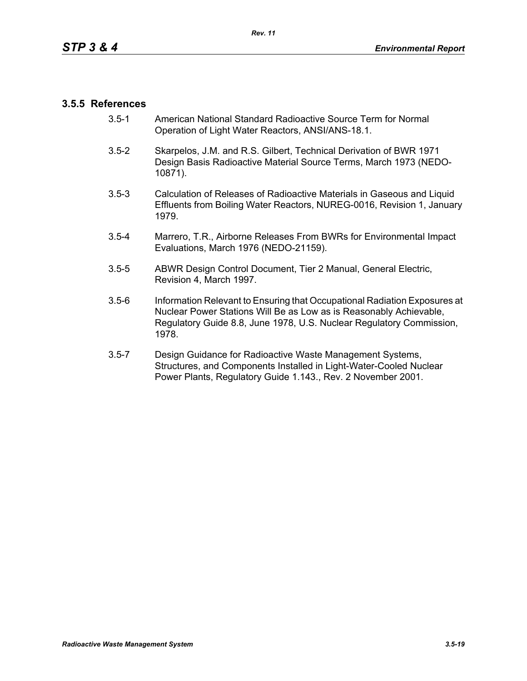### **3.5.5 References**

- 3.5-1 American National Standard Radioactive Source Term for Normal Operation of Light Water Reactors, ANSI/ANS-18.1.
- 3.5-2 Skarpelos, J.M. and R.S. Gilbert, Technical Derivation of BWR 1971 Design Basis Radioactive Material Source Terms, March 1973 (NEDO-10871).
- 3.5-3 Calculation of Releases of Radioactive Materials in Gaseous and Liquid Effluents from Boiling Water Reactors, NUREG-0016, Revision 1, January 1979.
- 3.5-4 Marrero, T.R., Airborne Releases From BWRs for Environmental Impact Evaluations, March 1976 (NEDO-21159).
- 3.5-5 ABWR Design Control Document, Tier 2 Manual, General Electric, Revision 4, March 1997.
- 3.5-6 Information Relevant to Ensuring that Occupational Radiation Exposures at Nuclear Power Stations Will Be as Low as is Reasonably Achievable, Regulatory Guide 8.8, June 1978, U.S. Nuclear Regulatory Commission, 1978.
- 3.5-7 Design Guidance for Radioactive Waste Management Systems, Structures, and Components Installed in Light-Water-Cooled Nuclear Power Plants, Regulatory Guide 1.143., Rev. 2 November 2001.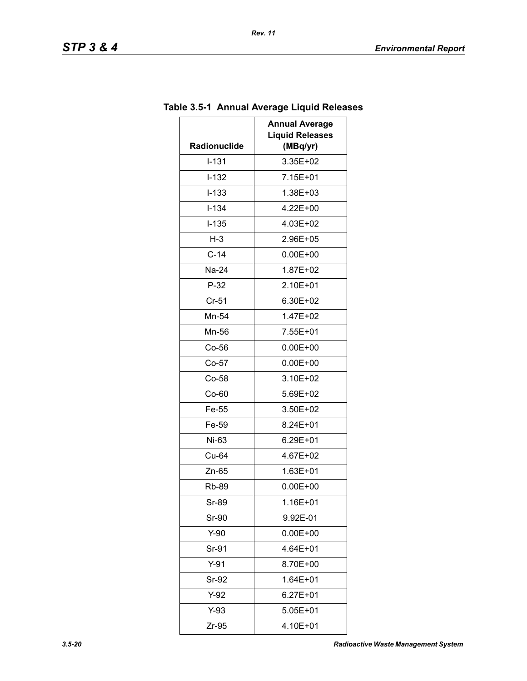| Radionuclide | <b>Annual Average</b><br><b>Liquid Releases</b><br>(MBq/yr) |
|--------------|-------------------------------------------------------------|
| $I - 131$    | 3.35E+02                                                    |
| $I-132$      | 7.15E+01                                                    |
| $I - 133$    | 1.38E+03                                                    |
| $I - 134$    | 4.22E+00                                                    |
| $I - 135$    | 4.03E+02                                                    |
| $H-3$        | 2.96E+05                                                    |
| $C-14$       | $0.00E + 00$                                                |
| Na-24        | 1.87E+02                                                    |
| $P-32$       | 2.10E+01                                                    |
| $Cr-51$      | 6.30E+02                                                    |
| Mn-54        | 1.47E+02                                                    |
| Mn-56        | 7.55E+01                                                    |
| $Co-56$      | $0.00E + 00$                                                |
| $Co-57$      | $0.00E + 00$                                                |
| $Co-58$      | 3.10E+02                                                    |
| Co-60        | 5.69E+02                                                    |
| Fe-55        | 3.50E+02                                                    |
| Fe-59        | 8.24E+01                                                    |
| Ni-63        | 6.29E+01                                                    |
| Cu-64        | 4.67E+02                                                    |
| Zn-65        | 1.63E+01                                                    |
| <b>Rb-89</b> | $0.00E + 00$                                                |
| Sr-89        | 1.16E+01                                                    |
| Sr-90        | 9.92E-01                                                    |
| Y-90         | $0.00E + 00$                                                |
| Sr-91        | 4.64E+01                                                    |
| $Y-91$       | 8.70E+00                                                    |
| Sr-92        | $1.64E + 01$                                                |
| Y-92         | 6.27E+01                                                    |
| Y-93         | 5.05E+01                                                    |
| Zr-95        | 4.10E+01                                                    |

# **Table 3.5-1 Annual Average Liquid Releases**

*Rev. 11*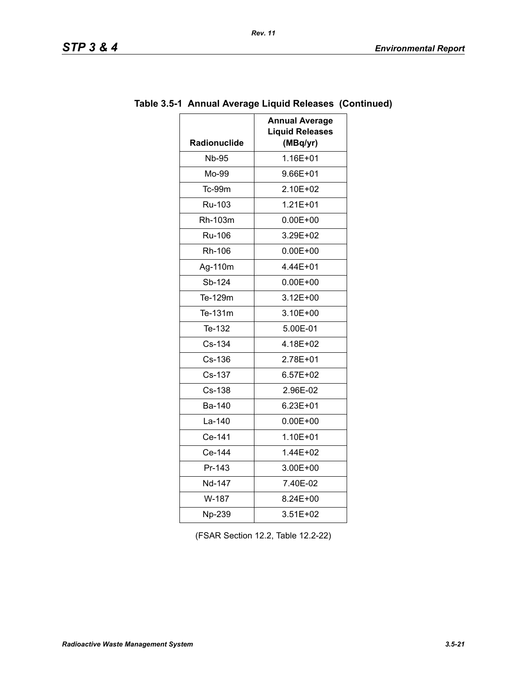| TD<br>SIF |  | œ |  |  |
|-----------|--|---|--|--|
|-----------|--|---|--|--|

| <b>Radionuclide</b> | <b>Annual Average</b><br><b>Liquid Releases</b><br>(MBq/yr) |
|---------------------|-------------------------------------------------------------|
| <b>Nb-95</b>        | 1.16E+01                                                    |
| Mo-99               | 9.66E+01                                                    |
| <b>Tc-99m</b>       | 2.10E+02                                                    |
| Ru-103              | $1.21E + 01$                                                |
| Rh-103m             | $0.00E + 00$                                                |
| <b>Ru-106</b>       | 3.29E+02                                                    |
| Rh-106              | 0.00E+00                                                    |
| Ag-110m             | 4.44E+01                                                    |
| Sb-124              | $0.00E + 00$                                                |
| Te-129m             | $3.12E + 00$                                                |
| Te-131m             | 3.10E+00                                                    |
| Te-132              | 5.00E-01                                                    |
| Cs-134              | 4.18E+02                                                    |
| Cs-136              | 2.78E+01                                                    |
| Cs-137              | $6.57E + 02$                                                |
| Cs-138              | 2.96E-02                                                    |
| Ba-140              | 6.23E+01                                                    |
| $La-140$            | $0.00E + 00$                                                |
| Ce-141              | 1.10E+01                                                    |
| Ce-144              | 1.44E+02                                                    |
| Pr-143              | 3.00E+00                                                    |
| Nd-147              | 7.40E-02                                                    |
| W-187               | 8.24E+00                                                    |
| Np-239              | 3.51E+02                                                    |

# **Table 3.5-1 Annual Average Liquid Releases (Continued)**

(FSAR Section 12.2, Table 12.2-22)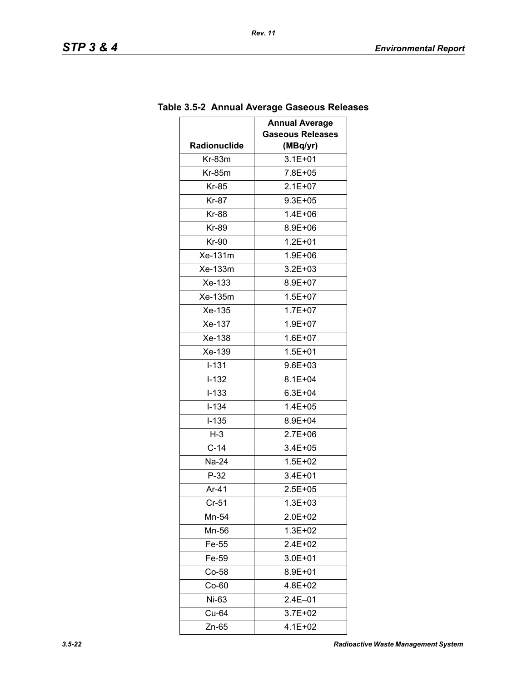|                     | <b>Annual Average</b><br><b>Gaseous Releases</b> |
|---------------------|--------------------------------------------------|
| <b>Radionuclide</b> | (MBq/yr)                                         |
| $Kr-83m$            | $3.1E + 01$                                      |
| $Kr-85m$            | 7.8E+05                                          |
| Kr-85               | $2.1E + 07$                                      |
| <b>Kr-87</b>        | $9.3E + 0.5$                                     |
| <b>Kr-88</b>        | $1.4E + 06$                                      |
| Kr-89               | 8.9E+06                                          |
| Kr-90               | $1.2E + 01$                                      |
| Xe-131m             | 1.9E+06                                          |
| Xe-133m             | $3.2E + 03$                                      |
| Xe-133              | 8.9E+07                                          |
| Xe-135m             | $1.5E + 07$                                      |
| Xe-135              | $1.7E + 07$                                      |
| Xe-137              | $1.9E + 07$                                      |
| Xe-138              | $1.6E + 07$                                      |
| Xe-139              | $1.5E + 01$                                      |
| $I - 131$           | $9.6E + 03$                                      |
| $I-132$             | $8.1E + 04$                                      |
| $I - 133$           | $6.3E + 04$                                      |
| $I - 134$           | 1.4E+05                                          |
| $I-135$             | 8.9E+04                                          |
| $H-3$               | $2.7E + 06$                                      |
| $C-14$              | $3.4E + 05$                                      |
| Na-24               | $1.5E + 02$                                      |
| $P-32$              | $3.4E + 01$                                      |
| Ar-41               | $2.5E + 05$                                      |
| $Cr-51$             | $1.3E + 03$                                      |
| Mn-54               | 2.0E+02                                          |
| Mn-56               | $1.3E + 02$                                      |
| Fe-55               | 2.4E+02                                          |
| Fe-59               | 3.0E+01                                          |
| $Co-58$             | 8.9E+01                                          |
| $Co-60$             | 4.8E+02                                          |
| Ni-63               | $2.4E - 01$                                      |
| Cu-64               | 3.7E+02                                          |
| Zn-65               | 4.1E+02                                          |

# **Table 3.5-2 Annual Average Gaseous Releases**

*Rev. 11*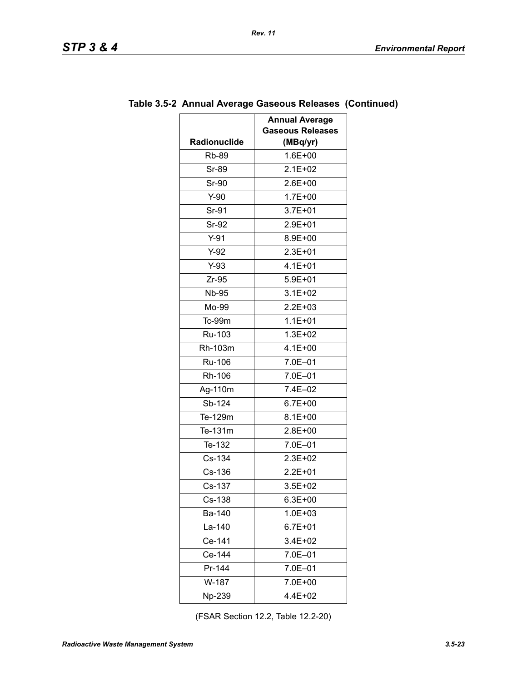| Radionuclide | <b>Annual Average</b><br><b>Gaseous Releases</b><br>(MBq/yr) |
|--------------|--------------------------------------------------------------|
| <b>Rb-89</b> | $1.6E + 00$                                                  |
| Sr-89        | $2.1E + 02$                                                  |
| <b>Sr-90</b> | 2.6E+00                                                      |
| $Y-90$       | $1.7E + 00$                                                  |
| Sr-91        | 3.7E+01                                                      |
| Sr-92        | 2.9E+01                                                      |
| $Y-91$       | 8.9E+00                                                      |
| $Y-92$       | $2.3E + 01$                                                  |
| $Y-93$       | $4.1E + 01$                                                  |
| $Zr-95$      | $5.9E + 01$                                                  |
| <b>Nb-95</b> | $3.1E + 02$                                                  |
| Mo-99        | 2.2E+03                                                      |
| Tc-99m       | $1.1E + 01$                                                  |
| Ru-103       | $1.3E + 02$                                                  |
| Rh-103m      | $4.1E + 00$                                                  |
| Ru-106       | 7.0E-01                                                      |
| Rh-106       | 7.0E-01                                                      |
| Ag-110m      | 7.4E-02                                                      |
| Sb-124       | $6.7E + 00$                                                  |
| Te-129m      | 8.1E+00                                                      |
| Te-131m      | 2.8E+00                                                      |
| Te-132       | 7.0E-01                                                      |
| Cs-134       | 2.3E+02                                                      |
| Cs-136       | $2.2E + 01$                                                  |
| Cs-137       | $3.5E + 02$                                                  |
| Cs-138       | $6.3E + 00$                                                  |
| Ba-140       | $1.0E + 03$                                                  |
| La-140       | $6.7E + 01$                                                  |
| Ce-141       | 3.4E+02                                                      |
| Ce-144       | 7.0E-01                                                      |
| Pr-144       | 7.0E-01                                                      |
| W-187        | 7.0E+00                                                      |
| Np-239       | 4.4E+02                                                      |
|              |                                                              |

### **Table 3.5-2 Annual Average Gaseous Releases (Continued)**

*Rev. 11*

(FSAR Section 12.2, Table 12.2-20)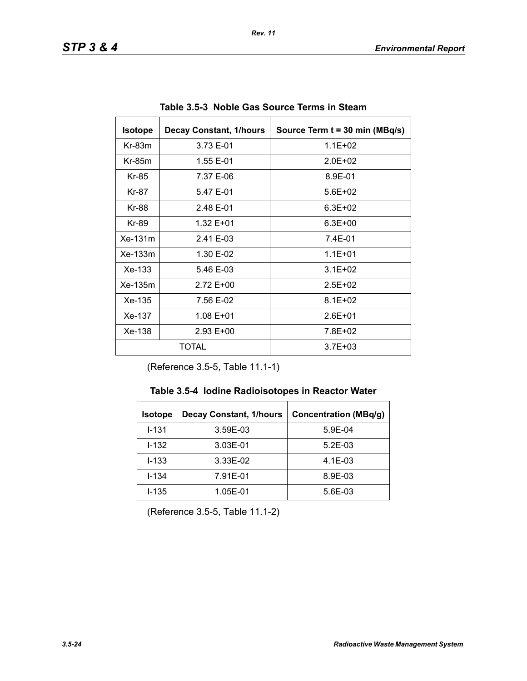| <b>Isotope</b>          | <b>Decay Constant, 1/hours</b> | Source Term t = 30 min (MBq/s) |
|-------------------------|--------------------------------|--------------------------------|
| $Kr-83m$                | 3.73 E-01                      | $1.1E + 02$                    |
| $Kr-85m$                | 1.55 E-01                      | $2.0F + 02$                    |
| Kr-85                   | 7.37 E-06                      | 8.9E-01                        |
| Kr-87                   | 5.47 E-01                      | $5.6E + 02$                    |
| Kr-88                   | 2.48 E-01                      | $6.3E + 02$                    |
| Kr-89                   | 1.32 E+01                      | $6.3E + 00$                    |
| $Xe-131m$               | 2.41 E-03                      | 7.4E-01                        |
| $Xe-133m$               | 1.30 E-02                      | $1.1E + 01$                    |
| Xe-133                  | 5.46 E-03                      | $3.1E + 02$                    |
| $Xe-135m$               | 2.72 E+00                      | $2.5E + 02$                    |
| Xe-135                  | 7.56 E-02                      | $8.1E + 02$                    |
| Xe-137<br>1.08 E+01     |                                | $2.6E + 01$                    |
| $Xe-138$<br>$2.93 E+00$ |                                | 7.8E+02                        |
| TOTAL                   |                                | $3.7E + 03$                    |

**Table 3.5-3 Noble Gas Source Terms in Steam** 

(Reference 3.5-5, Table 11.1-1)

| <b>Isotope</b> | <b>Decay Constant, 1/hours</b> | <b>Concentration (MBq/g)</b> |
|----------------|--------------------------------|------------------------------|
| $1 - 131$      | 3.59E-03                       | 5.9E-04                      |
| $1 - 132$      | 3.03E-01                       | $5.2E-03$                    |
| $I - 133$      | 3.33E-02                       | $4.1E-03$                    |
| $I - 134$      | 7.91E-01                       | 8.9E-03                      |
| $I - 135$      | 1.05E-01                       | 5.6E-03                      |

(Reference 3.5-5, Table 11.1-2)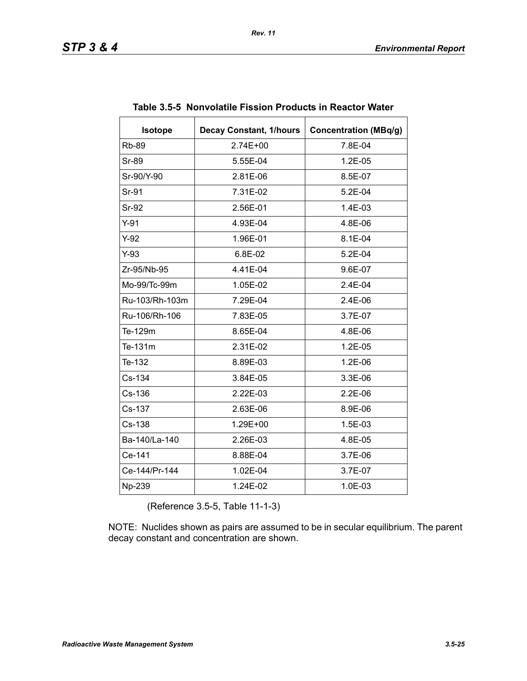| <b>Isotope</b> | <b>Decay Constant, 1/hours</b> | <b>Concentration (MBq/g)</b> |
|----------------|--------------------------------|------------------------------|
| <b>Rb-89</b>   | 2.74E+00                       | 7.8E-04                      |
| Sr-89          | 5.55E-04                       | 1.2E-05                      |
| Sr-90/Y-90     | 2.81E-06                       | 8.5E-07                      |
| Sr-91          | 7.31E-02                       | $5.2E-04$                    |
| Sr-92          | 2.56E-01                       | 1.4E-03                      |
| $Y-91$         | 4.93E-04                       | 4.8E-06                      |
| $Y-92$         | 1.96E-01                       | 8.1E-04                      |
| $Y-93$         | 6.8E-02                        | 5.2E-04                      |
| Zr-95/Nb-95    | 4.41E-04                       | 9.6E-07                      |
| Mo-99/Tc-99m   | 1.05E-02                       | 2.4E-04                      |
| Ru-103/Rh-103m | 7.29E-04                       | 2.4E-06                      |
| Ru-106/Rh-106  | 7.83E-05                       | 3.7E-07                      |
| Te-129m        | 8.65E-04                       | 4.8E-06                      |
| Te-131m        | 2.31E-02                       | 1.2E-05                      |
| Te-132         | 8.89E-03                       | 1.2E-06                      |
| Cs-134         | 3.84E-05                       | 3.3E-06                      |
| Cs-136         | 2.22E-03                       | $2.2E-06$                    |
| Cs-137         | 2.63E-06                       | 8.9E-06                      |
| Cs-138         | 1.29E+00                       | 1.5E-03                      |
| Ba-140/La-140  | 2.26E-03                       | 4.8E-05                      |
| Ce-141         | 8.88E-04                       | 3.7E-06                      |
| Ce-144/Pr-144  | 1.02E-04                       | 3.7E-07                      |
| Np-239         | 1.24E-02                       | 1.0E-03                      |

#### **Table 3.5-5 Nonvolatile Fission Products in Reactor Water**

(Reference 3.5-5, Table 11-1-3)

NOTE: Nuclides shown as pairs are assumed to be in secular equilibrium. The parent decay constant and concentration are shown.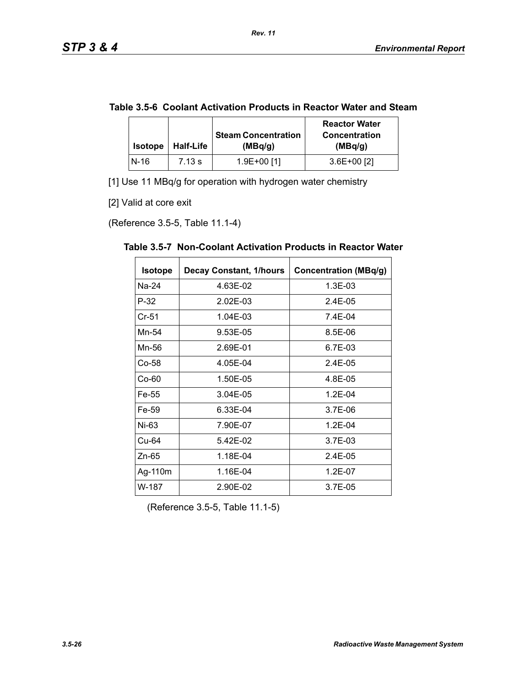| Table 3.5-6 Coolant Activation Products in Reactor Water and Steam |  |
|--------------------------------------------------------------------|--|
|--------------------------------------------------------------------|--|

*Rev. 11*

| <b>Isotope</b> | <b>Half-Life</b> | <b>Steam Concentration</b><br>(MBq/g) | <b>Reactor Water</b><br><b>Concentration</b><br>(MBq/g) |  |
|----------------|------------------|---------------------------------------|---------------------------------------------------------|--|
| $N-16$         | 7.13 s           | $1.9E+00$ [1]                         | $3.6E+00$ [2]                                           |  |

[1] Use 11 MBq/g for operation with hydrogen water chemistry

[2] Valid at core exit

(Reference 3.5-5, Table 11.1-4)

| <b>Isotope</b> | <b>Decay Constant, 1/hours</b> | <b>Concentration (MBq/g)</b> |
|----------------|--------------------------------|------------------------------|
| Na-24          | 4.63E-02                       | 1.3E-03                      |
| P-32           | 2.02E-03                       | 2.4E-05                      |
| Cr-51          | 1.04E-03                       | 7.4E-04                      |
| Mn-54          | 9.53E-05                       | 8.5E-06                      |
| Mn-56          | 2.69E-01                       | 6.7E-03                      |
| Co-58          | 4.05E-04                       | 2.4E-05                      |
| Co-60          | 1.50E-05                       | 4.8E-05                      |
| Fe-55          | 3.04E-05                       | $1.2E - 04$                  |
| Fe-59          | 6.33E-04                       | 3.7E-06                      |
| Ni-63          | 7.90E-07                       | $1.2E - 04$                  |
| Cu-64          | 5.42E-02                       | 3.7E-03                      |
| Zn-65          | 1.18E-04                       | $2.4E - 0.5$                 |
| Ag-110m        | 1.16E-04                       | $1.2E - 07$                  |
| W-187          | 2.90E-02                       | 3.7E-05                      |

**Table 3.5-7 Non-Coolant Activation Products in Reactor Water** 

(Reference 3.5-5, Table 11.1-5)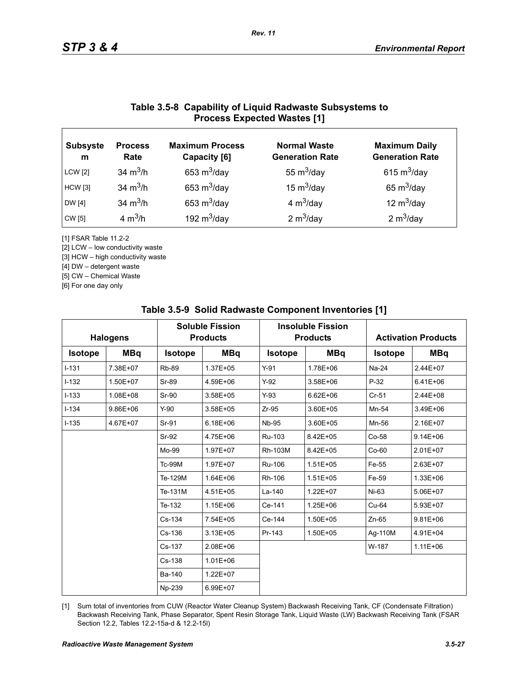# **Table 3.5-8 Capability of Liquid Radwaste Subsystems to Process Expected Wastes [1]**

| <b>Subsyste</b><br>m | <b>Process</b><br>Rate | <b>Maximum Process</b><br>Capacity [6] | <b>Normal Waste</b><br><b>Generation Rate</b> | <b>Maximum Daily</b><br><b>Generation Rate</b> |
|----------------------|------------------------|----------------------------------------|-----------------------------------------------|------------------------------------------------|
| <b>LCW</b> [2]       | 34 $m^3/h$             | 653 $m^3$ /day                         | 55 $m^3$ /day                                 | 615 $m^3$ /day                                 |
| <b>HCW</b> [3]       | 34 $m^3/h$             | 653 $m^3$ /day                         | 15 $m^3$ /day                                 | 65 $m^3$ /day                                  |
| DW [4]               | 34 $m^3/h$             | 653 $m^3$ /day                         | 4 $m^3$ /day                                  | 12 $m^3$ /day                                  |
| CW [5]               | 4 $m^3/h$              | 192 $m^3$ /day                         | 2 $m^3$ /day                                  | 2 $m^3$ /day                                   |

[1] FSAR Table 11.2-2

[2] LCW – low conductivity waste

[3] HCW – high conductivity waste

[4] DW – detergent waste

[5] CW – Chemical Waste

[6] For one day only

| <b>Halogens</b> |              |                | <b>Soluble Fission</b><br><b>Products</b> |                | <b>Insoluble Fission</b><br><b>Products</b> |                | <b>Activation Products</b> |  |
|-----------------|--------------|----------------|-------------------------------------------|----------------|---------------------------------------------|----------------|----------------------------|--|
| <b>Isotope</b>  | <b>MBq</b>   | <b>Isotope</b> | <b>MBq</b>                                | <b>Isotope</b> | <b>MBq</b>                                  | <b>Isotope</b> | <b>MBq</b>                 |  |
| $I-131$         | 7.38E+07     | <b>Rb-89</b>   | 1.37E+05                                  | $Y-91$         | 1.78E+06                                    | Na-24          | 2.44E+07                   |  |
| $I-132$         | 1.50E+07     | Sr-89          | 4.59E+06                                  | $Y-92$         | 3.58E+06                                    | $P-32$         | $6.41E + 06$               |  |
| $I-133$         | 1.08E+08     | Sr-90          | $3.58E + 05$                              | $Y-93$         | $6.62E + 06$                                | $Cr-51$        | 2.44E+08                   |  |
| $I - 134$       | $9.86E + 06$ | $Y-90$         | 3.58E+05                                  | $Zr-95$        | 3.60E+05                                    | Mn-54          | 3.49E+06                   |  |
| $I - 135$       | 4.67E+07     | Sr-91          | $6.18E + 06$                              | <b>Nb-95</b>   | 3.60E+05                                    | Mn-56          | 2.16E+07                   |  |
|                 |              | Sr-92          | 4.75E+06                                  | Ru-103         | 8.42E+05                                    | Co-58          | $9.14E + 06$               |  |
|                 |              | Mo-99          | 1.97E+07                                  | Rh-103M        | 8.42E+05                                    | $Co-60$        | 2.01E+07                   |  |
|                 |              | <b>Tc-99M</b>  | 1.97E+07                                  | Ru-106         | $1.51E + 05$                                | Fe-55          | 2.63E+07                   |  |
|                 |              | Te-129M        | 1.64E+06                                  | Rh-106         | $1.51E + 05$                                | Fe-59          | 1.33E+06                   |  |
|                 |              | Te-131M        | 4.51E+05                                  | La-140         | $1.22E + 07$                                | $Ni-63$        | 5.06E+07                   |  |
|                 |              | Te-132         | $1.15E + 06$                              | Ce-141         | 1.25E+06                                    | $Cu-64$        | 5.93E+07                   |  |
|                 |              | Cs-134         | 7.54E+05                                  | Ce-144         | 1.50E+05                                    | $Zn-65$        | $9.81E + 06$               |  |
|                 |              | Cs-136         | $3.13E + 05$                              | Pr-143         | 1.50E+05                                    | Ag-110M        | 4.91E+04                   |  |
|                 |              | Cs-137         | 2.08E+06                                  |                |                                             | W-187          | $1.11E + 06$               |  |
|                 |              | $Cs - 138$     | $1.01E + 06$                              |                |                                             |                |                            |  |
|                 |              | Ba-140         | 1.22E+07                                  |                |                                             |                |                            |  |
|                 |              | Np-239         | 6.99E+07                                  |                |                                             |                |                            |  |

#### **Table 3.5-9 Solid Radwaste Component Inventories [1]**

[1] Sum total of inventories from CUW (Reactor Water Cleanup System) Backwash Receiving Tank, CF (Condensate Filtration) Backwash Receiving Tank, Phase Separator, Spent Resin Storage Tank, Liquid Waste (LW) Backwash Receiving Tank (FSAR Section 12.2, Tables 12.2-15a-d & 12.2-15l)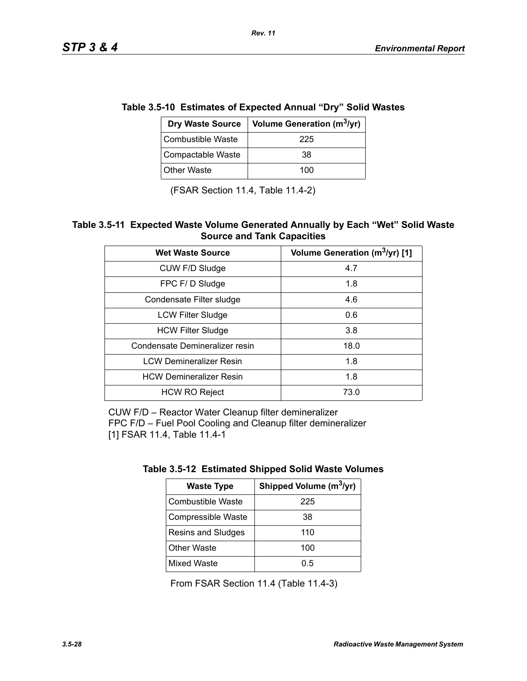$\mathcal{L}$ 

| le 3.5-10  Estimates of Expected Annual "Dry" Solid Was |                                        |  |
|---------------------------------------------------------|----------------------------------------|--|
| <b>Dry Waste Source</b>                                 | Volume Generation (m <sup>3</sup> /yr) |  |
| Combustible Waste                                       | 225                                    |  |
| Compactable Waste                                       | 38                                     |  |
| <b>Other Waste</b>                                      | 100                                    |  |

**Table 3.5-10 Estimates of Expected Annual "Dry" Solid Wastes** 

(FSAR Section 11.4, Table 11.4-2)

#### **Table 3.5-11 Expected Waste Volume Generated Annually by Each "Wet" Solid Waste Source and Tank Capacities**

| <b>Wet Waste Source</b>        | Volume Generation (m <sup>3</sup> /yr) [1] |
|--------------------------------|--------------------------------------------|
| CUW F/D Sludge                 | 4.7                                        |
| FPC F/D Sludge                 | 1.8                                        |
| Condensate Filter sludge       | 4.6                                        |
| <b>LCW Filter Sludge</b>       | 0.6                                        |
| <b>HCW Filter Sludge</b>       | 3.8                                        |
| Condensate Demineralizer resin | 18.0                                       |
| <b>LCW Demineralizer Resin</b> | 1.8                                        |
| <b>HCW Demineralizer Resin</b> | 1.8                                        |
| <b>HCW RO Reject</b>           | 73.0                                       |

CUW F/D – Reactor Water Cleanup filter demineralizer FPC F/D – Fuel Pool Cooling and Cleanup filter demineralizer [1] FSAR 11.4, Table 11.4-1

| <b>Waste Type</b>  | Shipped Volume (m <sup>3</sup> /yr) |  |
|--------------------|-------------------------------------|--|
| Combustible Waste  | 225                                 |  |
| Compressible Waste | 38                                  |  |
| Resins and Sludges | 110                                 |  |
| <b>Other Waste</b> | 100                                 |  |
| <b>Mixed Waste</b> | 0.5                                 |  |

From FSAR Section 11.4 (Table 11.4-3)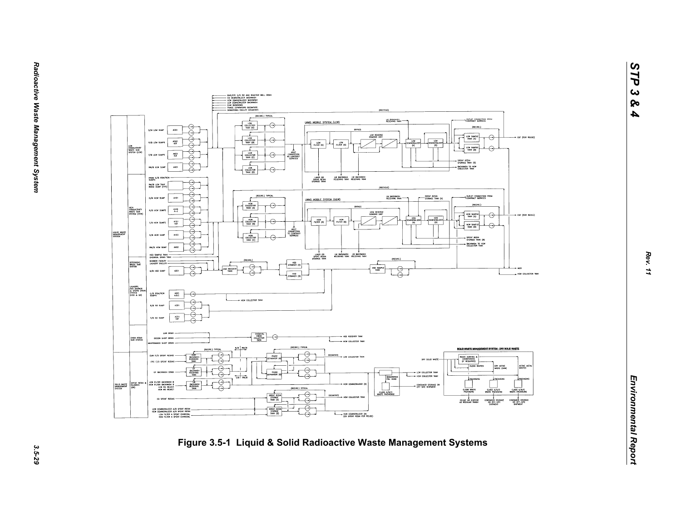

*STP 3 & 4*